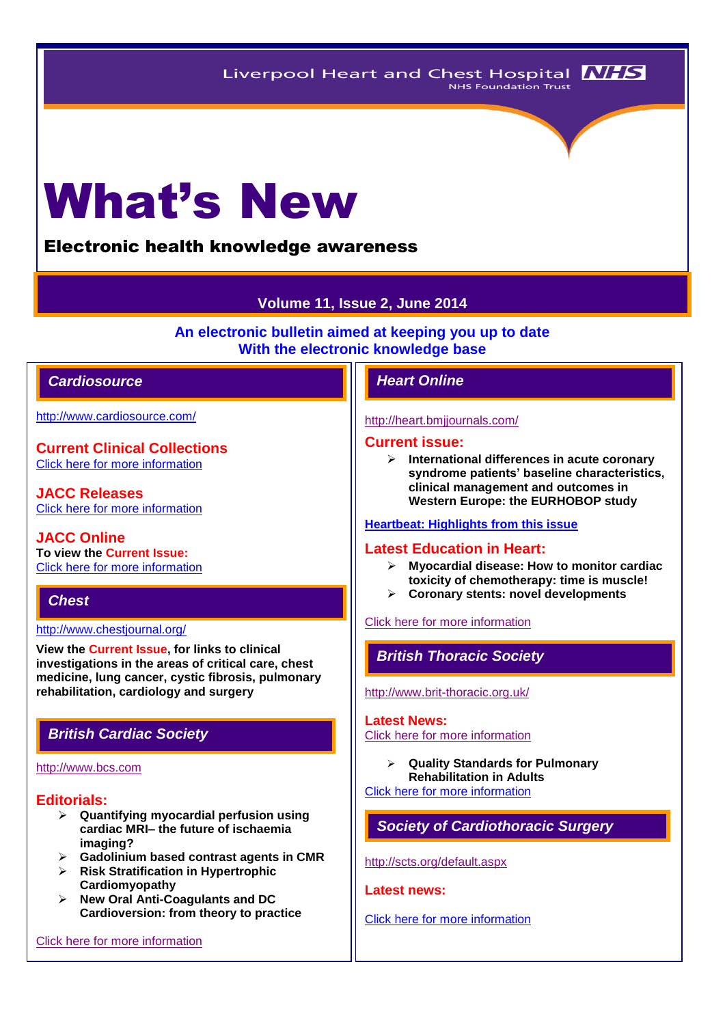# What's New

# Electronic health knowledge awareness

# **Volume 11, Issue 2, June 2014**

**An electronic bulletin aimed at keeping you up to date With the electronic knowledge base**

# *Cardiosource Heart Online*

<http://www.cardiosource.com/>

**Current Clinical Collections** [Click here for more information](http://www.cardiosource.org/science-and-quality/clinical-collections.aspx)

**JACC Releases** [Click here for more information](http://www.cardiosource.org/news-media/media-center/jacc-releases.aspx)

**JACC Online To view the Current Issue:** [Click here for more information](http://content.onlinejacc.org/current.dtl)

# *Chest*

#### <http://www.chestjournal.org/>

**View the Current Issue, for links to clinical investigations in the areas of critical care, chest medicine, lung cancer, cystic fibrosis, pulmonary rehabilitation, cardiology and surgery**

# *British Cardiac Society*

#### [http://www.bcs.com](http://www.bcs.com/)

## **Editorials:**

- **Quantifying myocardial perfusion using cardiac MRI– the future of ischaemia imaging?**
- **Gadolinium based contrast agents in CMR**
- **Risk Stratification in Hypertrophic Cardiomyopathy**
- **New Oral Anti-Coagulants and DC Cardioversion: from theory to practice**

[Click here for more information](http://www.bcs.com/editorial/editorial.asp)

#### <http://heart.bmjjournals.com/>

#### **Current issue:**

 **International differences in acute coronary syndrome patients' baseline characteristics, clinical management and outcomes in Western Europe: the EURHOBOP study**

#### **[Heartbeat: Highlights from this issue](http://heart.bmj.com/content/100/15/1145.extract)**

## **Latest Education in Heart:**

- **Myocardial disease: How to monitor cardiac toxicity of chemotherapy: time is muscle!**
- **Coronary stents: novel developments**

#### [Click here for more information](http://heart.bmj.com/site/about/education.xhtml)

# *British Thoracic Society*

<http://www.brit-thoracic.org.uk/>

#### **Latest News:**

[Click here for more information](https://www.brit-thoracic.org.uk/bts-news/)

 **Quality Standards for Pulmonary Rehabilitation in Adults**

[Click here for more information](https://www.brit-thoracic.org.uk/guidelines-and-quality-standards/pulmonary-rehabilitation-quality-standards/)

# *Society of Cardiothoracic Surgery*

<http://scts.org/default.aspx>

**Latest news:**

#### [Click here for more information](http://scts.org/modules/news/)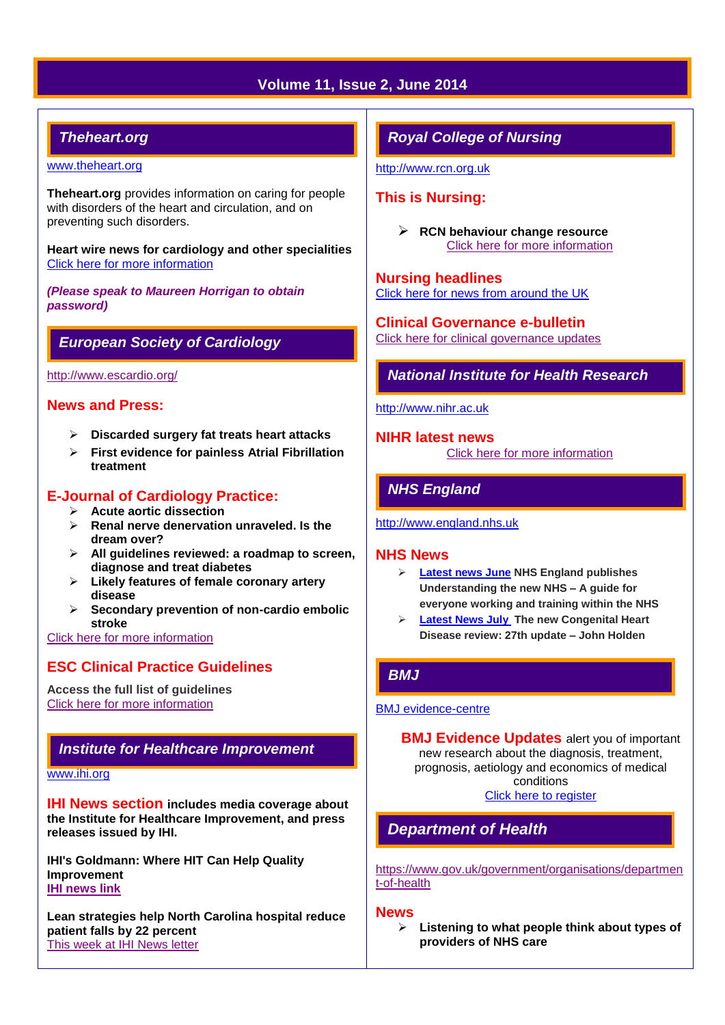# **Volume 11, Issue 2, June 2014**

# *Theheart.org*

#### [www.theheart.org](http://www.theheart.org/)

**Theheart.org** provides information on caring for people with disorders of the heart and circulation, and on preventing such disorders.

**Heart wire news for cardiology and other specialities** [Click here for more information](http://www.medscape.com/cardiology)

*(Please speak to Maureen Horrigan to obtain password)*

# *European Society of Cardiology*

<http://www.escardio.org/>

# **News and Press:**

- **Discarded surgery fat treats heart attacks**
- **First evidence for painless Atrial Fibrillation treatment**

# **E-Journal of Cardiology Practice:**

- **Acute aortic dissection**
- **Renal nerve denervation unraveled. Is the dream over?**
- **All guidelines reviewed: a roadmap to screen, diagnose and treat diabetes**
- **Likely features of female coronary artery disease**
- **Secondary prevention of non-cardio embolic stroke**

[Click here for more information](http://www.escardio.org/communities/councils/ccp/e-journal/volume12/Pages/welcome.aspx)

# **ESC Clinical Practice Guidelines**

**Access the full list of guidelines**  [Click here for more information](http://www.escardio.org/guidelines-surveys/esc-guidelines/Pages/GuidelinesList.aspx)

# *Institute for Healthcare Improvement*

[www.ihi.org](http://www.ihi.org/)

**IHI News section includes media coverage about the Institute for Healthcare Improvement, and press releases issued by IHI.**

**IHI's Goldmann: Where HIT Can Help Quality Improvement [IHI news link](http://www.ihi.org/about/news/Pages/default.aspx)**

**Lean strategies help North Carolina hospital reduce patient falls by 22 percent** [This week at IHI News letter](http://www.ihi.org/Documents/ThisWeekatIHI.htm) 

# *Royal College of Nursing*

[http://www.rcn.org.uk](http://www.rcn.org.uk/)

# **This is Nursing:**

 **RCN behaviour change resource** [Click here for more information](http://thisisnursing.rcn.org.uk/members/)

**Nursing headlines** [Click here for news from around the UK](http://www.rcn.org.uk/newsevents/news)

**Clinical Governance e-bulletin** [Click here for clinical governance updates](http://www.rcn.org.uk/development/practice/clinical_governance/quality_and_safety_e-bulletin/e-bulletin_archive)

# *National Institute for Health Research*

[http://www.nihr.ac.uk](http://www.nihr.ac.uk/)

**NIHR latest news** [Click here for more information](http://www.nihr.ac.uk/news/Pages/default.aspx)

# *NHS England*

[http://www.england.nhs.uk](http://www.england.nhs.uk/)

## **NHS News**

- **[Latest news June](http://www.england.nhs.uk/2014/06/) NHS England publishes Understanding the new NHS – A guide for everyone working and training within the NHS**
- **[Latest News July](http://www.england.nhs.uk/2014/07/) The new Congenital Heart Disease review: 27th update – John Holden**

# *BMJ*

#### [BMJ evidence-centre](http://group.bmj.com/products/evidence-centre/evidence-updates)

**BMJ Evidence Updates** alert you of important new research about the diagnosis, treatment, prognosis, aetiology and economics of medical conditions [Click here to register](http://plus.mcmaster.ca/EvidenceUpdates/Registration.aspx)

# *Department of Health*

[https://www.gov.uk/government/organisations/departmen](https://www.gov.uk/government/organisations/department-of-health) [t-of-health](https://www.gov.uk/government/organisations/department-of-health)

#### **News**

 **Listening to what people think about types of providers of NHS care**